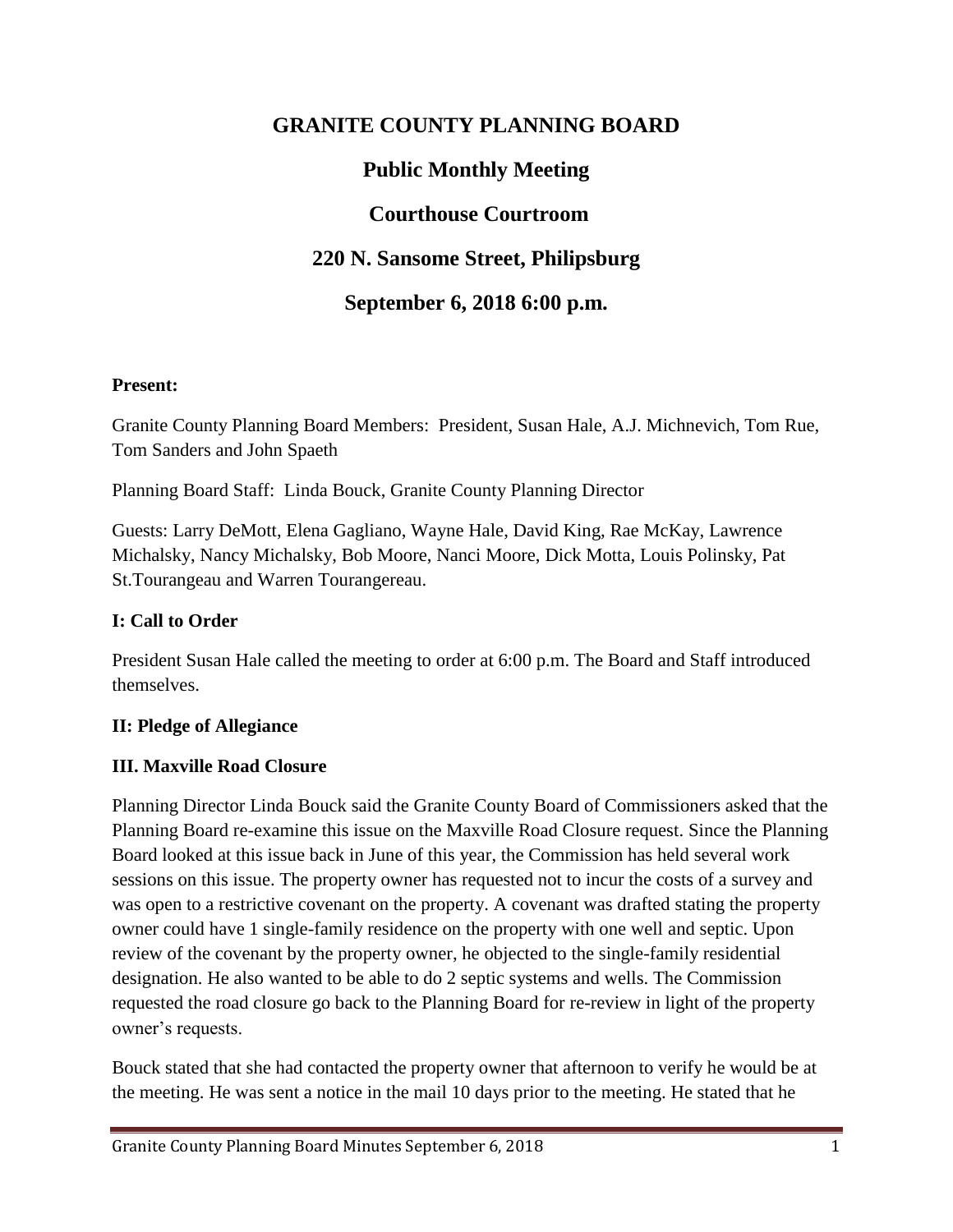# **GRANITE COUNTY PLANNING BOARD**

# **Public Monthly Meeting**

## **Courthouse Courtroom**

# **220 N. Sansome Street, Philipsburg**

## **September 6, 2018 6:00 p.m.**

#### **Present:**

Granite County Planning Board Members: President, Susan Hale, A.J. Michnevich, Tom Rue, Tom Sanders and John Spaeth

Planning Board Staff: Linda Bouck, Granite County Planning Director

Guests: Larry DeMott, Elena Gagliano, Wayne Hale, David King, Rae McKay, Lawrence Michalsky, Nancy Michalsky, Bob Moore, Nanci Moore, Dick Motta, Louis Polinsky, Pat St.Tourangeau and Warren Tourangereau.

#### **I: Call to Order**

President Susan Hale called the meeting to order at 6:00 p.m. The Board and Staff introduced themselves.

#### **II: Pledge of Allegiance**

#### **III. Maxville Road Closure**

Planning Director Linda Bouck said the Granite County Board of Commissioners asked that the Planning Board re-examine this issue on the Maxville Road Closure request. Since the Planning Board looked at this issue back in June of this year, the Commission has held several work sessions on this issue. The property owner has requested not to incur the costs of a survey and was open to a restrictive covenant on the property. A covenant was drafted stating the property owner could have 1 single-family residence on the property with one well and septic. Upon review of the covenant by the property owner, he objected to the single-family residential designation. He also wanted to be able to do 2 septic systems and wells. The Commission requested the road closure go back to the Planning Board for re-review in light of the property owner's requests.

Bouck stated that she had contacted the property owner that afternoon to verify he would be at the meeting. He was sent a notice in the mail 10 days prior to the meeting. He stated that he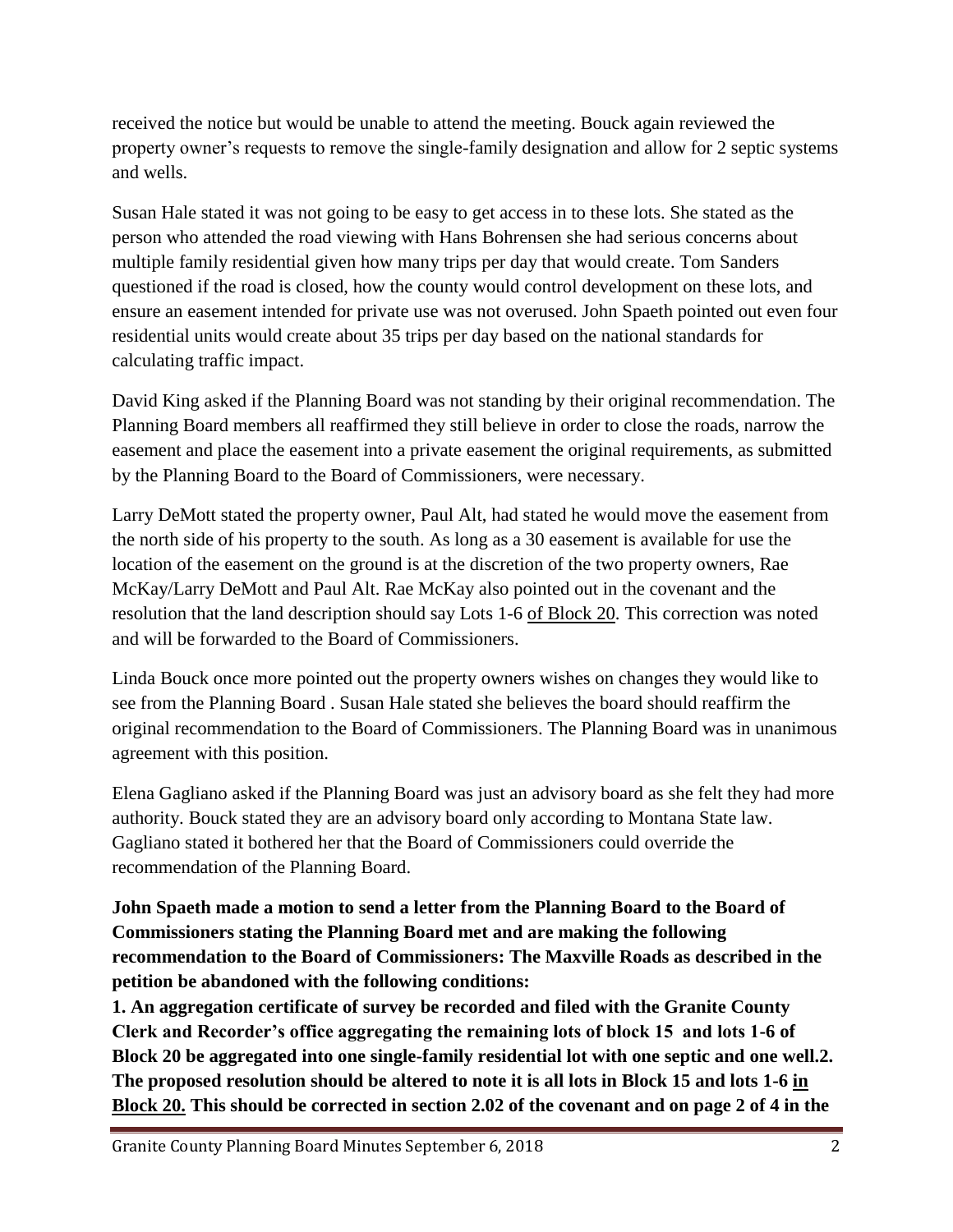received the notice but would be unable to attend the meeting. Bouck again reviewed the property owner's requests to remove the single-family designation and allow for 2 septic systems and wells.

Susan Hale stated it was not going to be easy to get access in to these lots. She stated as the person who attended the road viewing with Hans Bohrensen she had serious concerns about multiple family residential given how many trips per day that would create. Tom Sanders questioned if the road is closed, how the county would control development on these lots, and ensure an easement intended for private use was not overused. John Spaeth pointed out even four residential units would create about 35 trips per day based on the national standards for calculating traffic impact.

David King asked if the Planning Board was not standing by their original recommendation. The Planning Board members all reaffirmed they still believe in order to close the roads, narrow the easement and place the easement into a private easement the original requirements, as submitted by the Planning Board to the Board of Commissioners, were necessary.

Larry DeMott stated the property owner, Paul Alt, had stated he would move the easement from the north side of his property to the south. As long as a 30 easement is available for use the location of the easement on the ground is at the discretion of the two property owners, Rae McKay/Larry DeMott and Paul Alt. Rae McKay also pointed out in the covenant and the resolution that the land description should say Lots 1-6 of Block 20. This correction was noted and will be forwarded to the Board of Commissioners.

Linda Bouck once more pointed out the property owners wishes on changes they would like to see from the Planning Board . Susan Hale stated she believes the board should reaffirm the original recommendation to the Board of Commissioners. The Planning Board was in unanimous agreement with this position.

Elena Gagliano asked if the Planning Board was just an advisory board as she felt they had more authority. Bouck stated they are an advisory board only according to Montana State law. Gagliano stated it bothered her that the Board of Commissioners could override the recommendation of the Planning Board.

**John Spaeth made a motion to send a letter from the Planning Board to the Board of Commissioners stating the Planning Board met and are making the following recommendation to the Board of Commissioners: The Maxville Roads as described in the petition be abandoned with the following conditions:** 

**1. An aggregation certificate of survey be recorded and filed with the Granite County Clerk and Recorder's office aggregating the remaining lots of block 15 and lots 1-6 of Block 20 be aggregated into one single-family residential lot with one septic and one well.2. The proposed resolution should be altered to note it is all lots in Block 15 and lots 1-6 in Block 20. This should be corrected in section 2.02 of the covenant and on page 2 of 4 in the**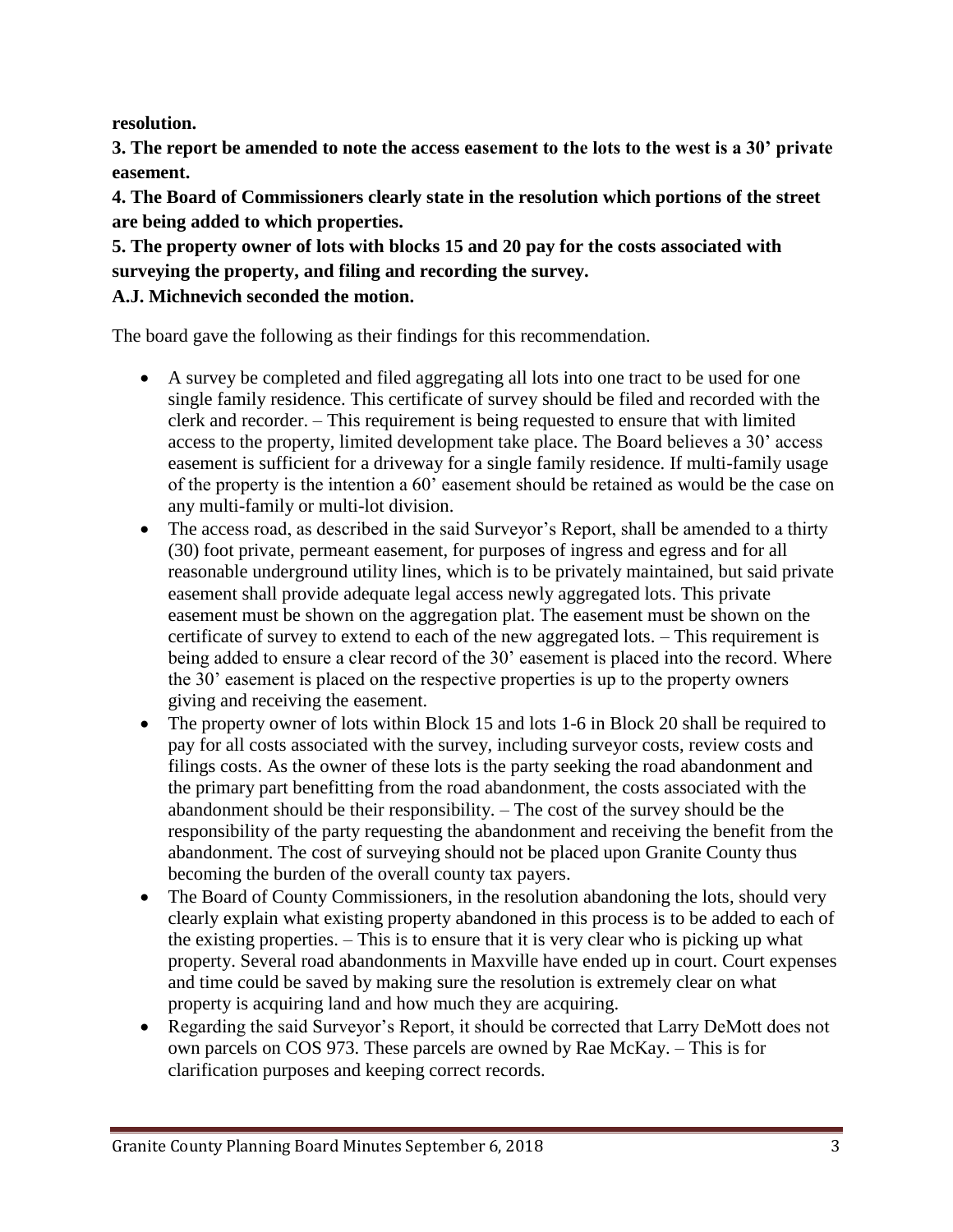**resolution.**

**3. The report be amended to note the access easement to the lots to the west is a 30' private easement.**

**4. The Board of Commissioners clearly state in the resolution which portions of the street are being added to which properties.**

**5. The property owner of lots with blocks 15 and 20 pay for the costs associated with surveying the property, and filing and recording the survey. A.J. Michnevich seconded the motion.**

The board gave the following as their findings for this recommendation.

- A survey be completed and filed aggregating all lots into one tract to be used for one single family residence. This certificate of survey should be filed and recorded with the clerk and recorder. – This requirement is being requested to ensure that with limited access to the property, limited development take place. The Board believes a 30' access easement is sufficient for a driveway for a single family residence. If multi-family usage of the property is the intention a 60' easement should be retained as would be the case on any multi-family or multi-lot division.
- The access road, as described in the said Surveyor's Report, shall be amended to a thirty (30) foot private, permeant easement, for purposes of ingress and egress and for all reasonable underground utility lines, which is to be privately maintained, but said private easement shall provide adequate legal access newly aggregated lots. This private easement must be shown on the aggregation plat. The easement must be shown on the certificate of survey to extend to each of the new aggregated lots. – This requirement is being added to ensure a clear record of the 30' easement is placed into the record. Where the 30' easement is placed on the respective properties is up to the property owners giving and receiving the easement.
- The property owner of lots within Block 15 and lots 1-6 in Block 20 shall be required to pay for all costs associated with the survey, including surveyor costs, review costs and filings costs. As the owner of these lots is the party seeking the road abandonment and the primary part benefitting from the road abandonment, the costs associated with the abandonment should be their responsibility. – The cost of the survey should be the responsibility of the party requesting the abandonment and receiving the benefit from the abandonment. The cost of surveying should not be placed upon Granite County thus becoming the burden of the overall county tax payers.
- The Board of County Commissioners, in the resolution abandoning the lots, should very clearly explain what existing property abandoned in this process is to be added to each of the existing properties. – This is to ensure that it is very clear who is picking up what property. Several road abandonments in Maxville have ended up in court. Court expenses and time could be saved by making sure the resolution is extremely clear on what property is acquiring land and how much they are acquiring.
- Regarding the said Surveyor's Report, it should be corrected that Larry DeMott does not own parcels on COS 973. These parcels are owned by Rae McKay. – This is for clarification purposes and keeping correct records.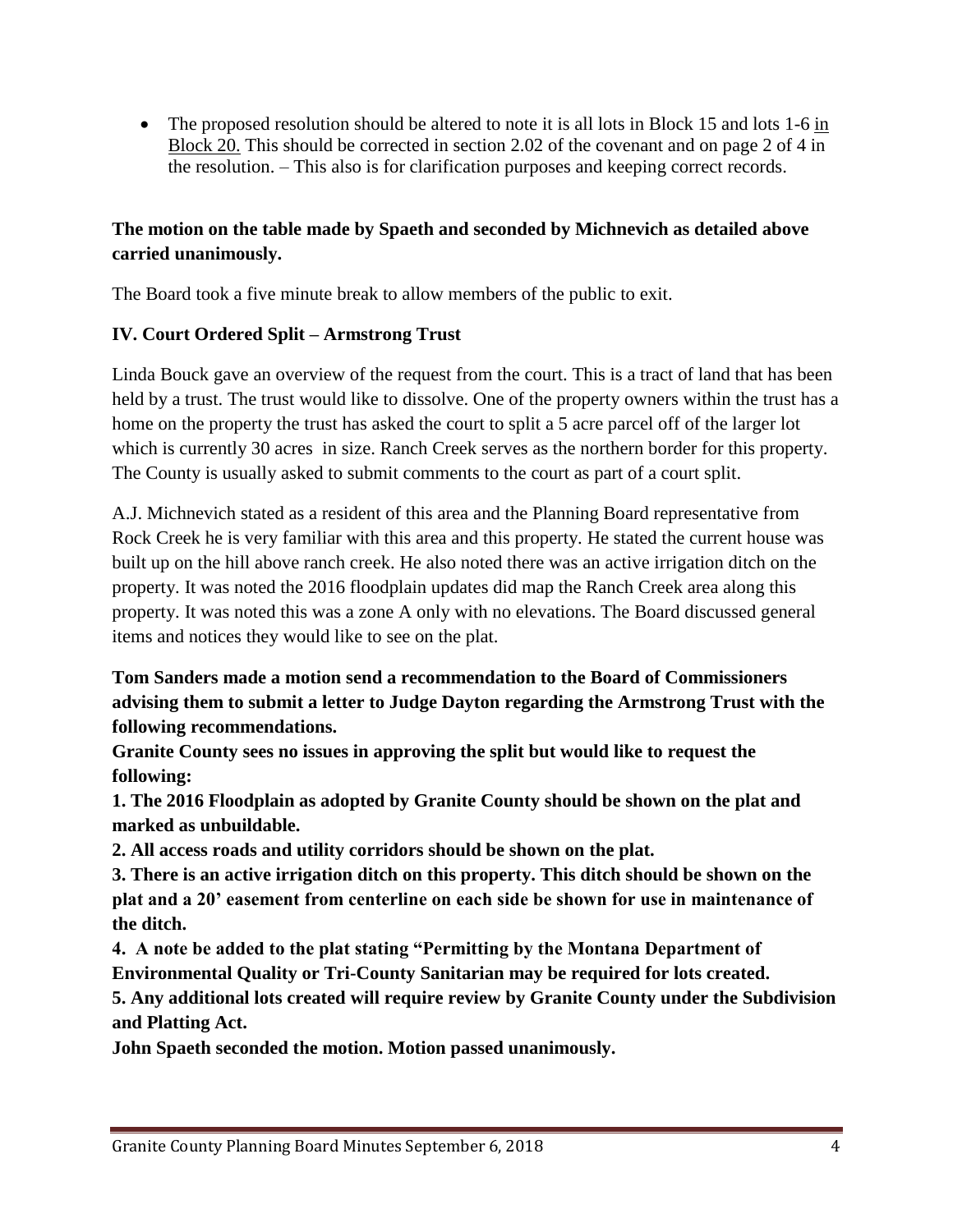• The proposed resolution should be altered to note it is all lots in Block 15 and lots 1-6 in Block 20. This should be corrected in section 2.02 of the covenant and on page 2 of 4 in the resolution. – This also is for clarification purposes and keeping correct records.

## **The motion on the table made by Spaeth and seconded by Michnevich as detailed above carried unanimously.**

The Board took a five minute break to allow members of the public to exit.

## **IV. Court Ordered Split – Armstrong Trust**

Linda Bouck gave an overview of the request from the court. This is a tract of land that has been held by a trust. The trust would like to dissolve. One of the property owners within the trust has a home on the property the trust has asked the court to split a 5 acre parcel off of the larger lot which is currently 30 acres in size. Ranch Creek serves as the northern border for this property. The County is usually asked to submit comments to the court as part of a court split.

A.J. Michnevich stated as a resident of this area and the Planning Board representative from Rock Creek he is very familiar with this area and this property. He stated the current house was built up on the hill above ranch creek. He also noted there was an active irrigation ditch on the property. It was noted the 2016 floodplain updates did map the Ranch Creek area along this property. It was noted this was a zone A only with no elevations. The Board discussed general items and notices they would like to see on the plat.

**Tom Sanders made a motion send a recommendation to the Board of Commissioners advising them to submit a letter to Judge Dayton regarding the Armstrong Trust with the following recommendations.**

**Granite County sees no issues in approving the split but would like to request the following:**

**1. The 2016 Floodplain as adopted by Granite County should be shown on the plat and marked as unbuildable.**

**2. All access roads and utility corridors should be shown on the plat.**

**3. There is an active irrigation ditch on this property. This ditch should be shown on the plat and a 20' easement from centerline on each side be shown for use in maintenance of the ditch.**

**4. A note be added to the plat stating "Permitting by the Montana Department of Environmental Quality or Tri-County Sanitarian may be required for lots created. 5. Any additional lots created will require review by Granite County under the Subdivision and Platting Act.**

**John Spaeth seconded the motion. Motion passed unanimously.**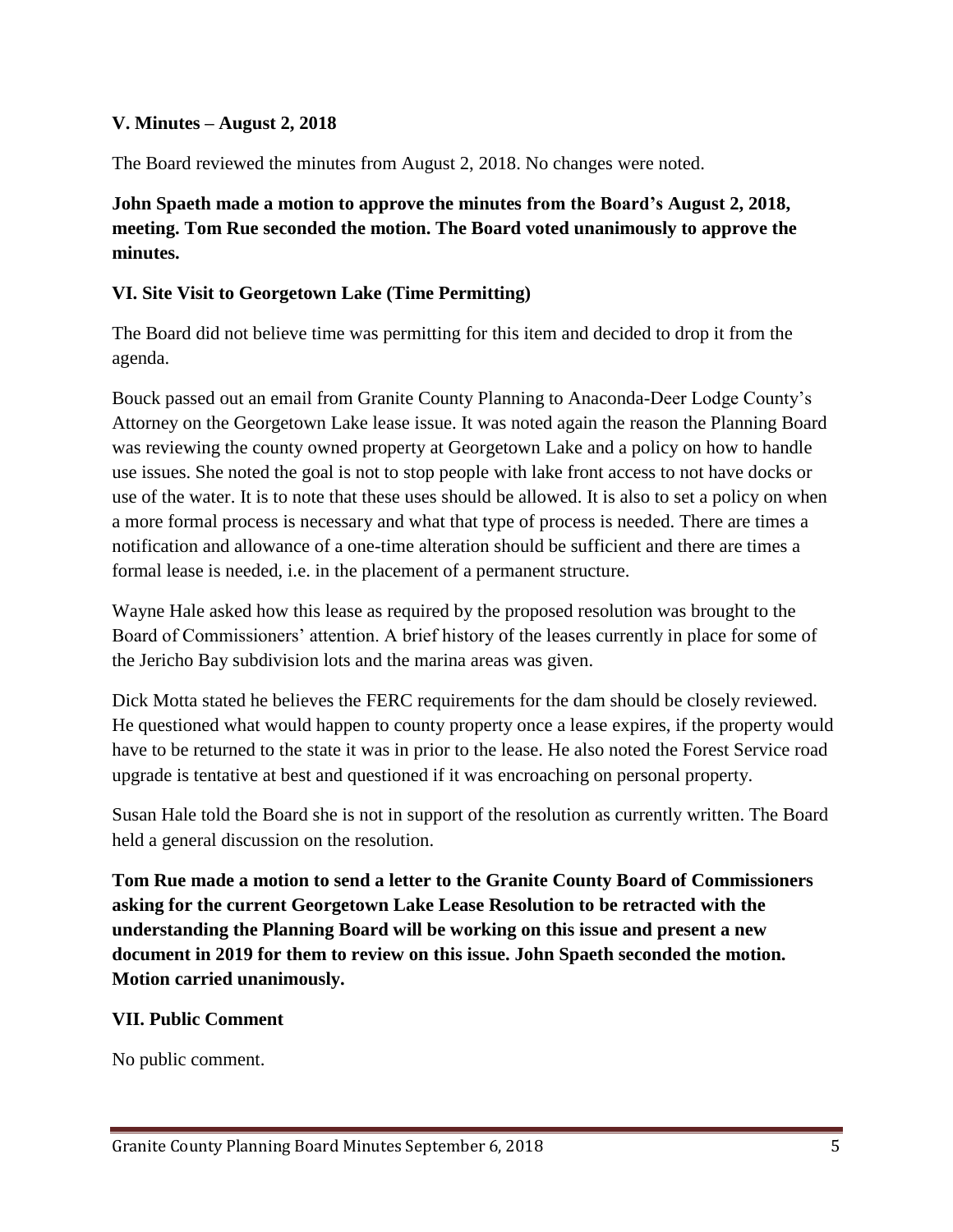#### **V. Minutes – August 2, 2018**

The Board reviewed the minutes from August 2, 2018. No changes were noted.

**John Spaeth made a motion to approve the minutes from the Board's August 2, 2018, meeting. Tom Rue seconded the motion. The Board voted unanimously to approve the minutes.**

#### **VI. Site Visit to Georgetown Lake (Time Permitting)**

The Board did not believe time was permitting for this item and decided to drop it from the agenda.

Bouck passed out an email from Granite County Planning to Anaconda-Deer Lodge County's Attorney on the Georgetown Lake lease issue. It was noted again the reason the Planning Board was reviewing the county owned property at Georgetown Lake and a policy on how to handle use issues. She noted the goal is not to stop people with lake front access to not have docks or use of the water. It is to note that these uses should be allowed. It is also to set a policy on when a more formal process is necessary and what that type of process is needed. There are times a notification and allowance of a one-time alteration should be sufficient and there are times a formal lease is needed, i.e. in the placement of a permanent structure.

Wayne Hale asked how this lease as required by the proposed resolution was brought to the Board of Commissioners' attention. A brief history of the leases currently in place for some of the Jericho Bay subdivision lots and the marina areas was given.

Dick Motta stated he believes the FERC requirements for the dam should be closely reviewed. He questioned what would happen to county property once a lease expires, if the property would have to be returned to the state it was in prior to the lease. He also noted the Forest Service road upgrade is tentative at best and questioned if it was encroaching on personal property.

Susan Hale told the Board she is not in support of the resolution as currently written. The Board held a general discussion on the resolution.

**Tom Rue made a motion to send a letter to the Granite County Board of Commissioners asking for the current Georgetown Lake Lease Resolution to be retracted with the understanding the Planning Board will be working on this issue and present a new document in 2019 for them to review on this issue. John Spaeth seconded the motion. Motion carried unanimously.**

#### **VII. Public Comment**

No public comment.